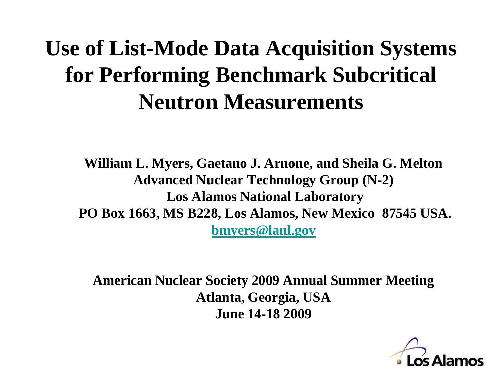# **Use of List-Mode Data Acquisition Systems for Performing Benchmark Subcritical Neutron Measurements**

**William L. Myers, Gaetano J. Arnone, and Sheila G. Melton Advanced Nuclear Technology Group (N-2) Los Alamos National Laboratory PO Box 1663, MS B228, Los Alamos, New Mexico 87545 USA. [bmyers@lanl.gov](mailto:bmyers@lanl.gov)**

**American Nuclear Society 2009 Annual Summer Meeting Atlanta, Georgia, USA June 14-18 2009**

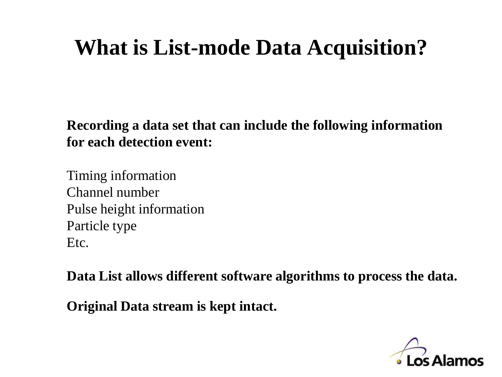# **What is List-mode Data Acquisition?**

**Recording a data set that can include the following information for each detection event:**

Timing information Channel number Pulse height information Particle type Etc.

**Data List allows different software algorithms to process the data.**

**Original Data stream is kept intact.**

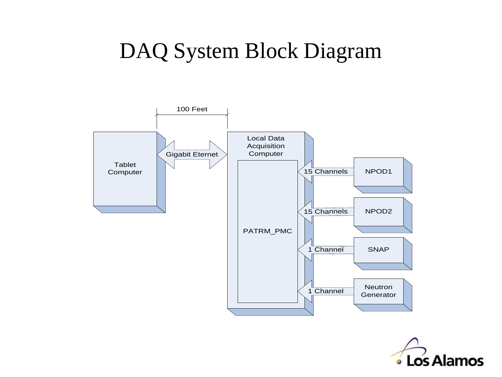### DAQ System Block Diagram



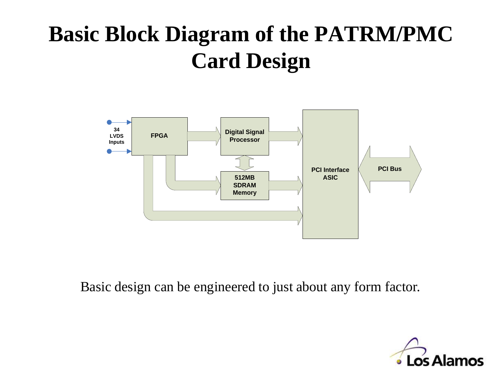# **Basic Block Diagram of the PATRM/PMC Card Design**



Basic design can be engineered to just about any form factor.

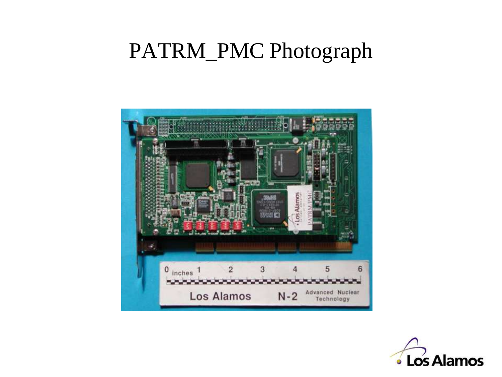#### PATRM\_PMC Photograph



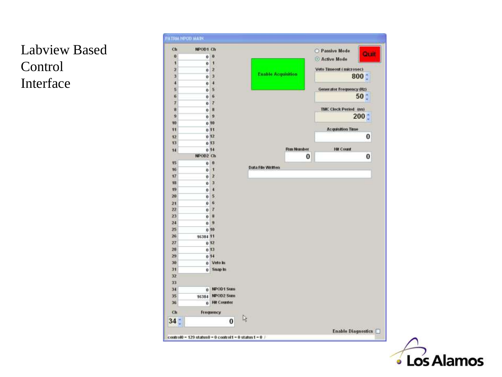#### Labview Based Control Interface



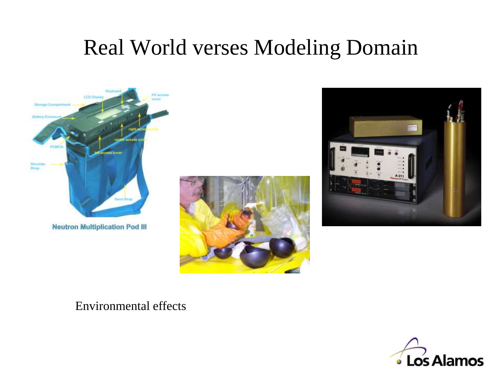## Real World verses Modeling Domain







Environmental effects